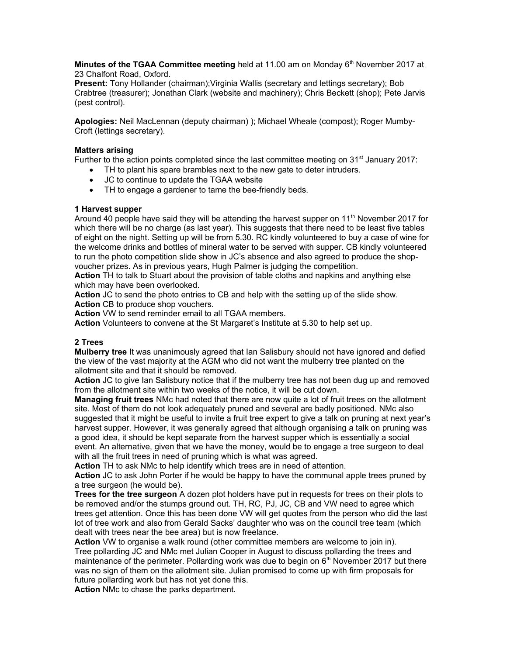**Minutes of the TGAA Committee meeting** held at 11.00 am on Monday 6<sup>th</sup> November 2017 at 23 Chalfont Road, Oxford.

**Present:** Tony Hollander (chairman); Virginia Wallis (secretary and lettings secretary); Bob Crabtree (treasurer); Jonathan Clark (website and machinery); Chris Beckett (shop); Pete Jarvis (pest control).

**Apologies:** Neil MacLennan (deputy chairman) ); Michael Wheale (compost); Roger Mumby-Croft (lettings secretary).

# **Matters arising**

Further to the action points completed since the last committee meeting on 31<sup>st</sup> January 2017:

- TH to plant his spare brambles next to the new gate to deter intruders.
- JC to continue to update the TGAA website
- TH to engage a gardener to tame the bee-friendly beds.

#### **1 Harvest supper**

Around 40 people have said they will be attending the harvest supper on 11<sup>th</sup> November 2017 for which there will be no charge (as last year). This suggests that there need to be least five tables of eight on the night. Setting up will be from 5.30. RC kindly volunteered to buy a case of wine for the welcome drinks and bottles of mineral water to be served with supper. CB kindly volunteered to run the photo competition slide show in JC's absence and also agreed to produce the shopvoucher prizes. As in previous years, Hugh Palmer is judging the competition.

**Action** TH to talk to Stuart about the provision of table cloths and napkins and anything else which may have been overlooked.

**Action** JC to send the photo entries to CB and help with the setting up of the slide show.

**Action** CB to produce shop vouchers.

**Action** VW to send reminder email to all TGAA members.

**Action** Volunteers to convene at the St Margaret's Institute at 5.30 to help set up.

# **2 Trees**

**Mulberry tree** It was unanimously agreed that Ian Salisbury should not have ignored and defied the view of the vast majority at the AGM who did not want the mulberry tree planted on the allotment site and that it should be removed.

**Action** JC to give Ian Salisbury notice that if the mulberry tree has not been dug up and removed from the allotment site within two weeks of the notice, it will be cut down.

**Managing fruit trees** NMc had noted that there are now quite a lot of fruit trees on the allotment site. Most of them do not look adequately pruned and several are badly positioned. NMc also suggested that it might be useful to invite a fruit tree expert to give a talk on pruning at next year's harvest supper. However, it was generally agreed that although organising a talk on pruning was a good idea, it should be kept separate from the harvest supper which is essentially a social event. An alternative, given that we have the money, would be to engage a tree surgeon to deal with all the fruit trees in need of pruning which is what was agreed.

**Action** TH to ask NMc to help identify which trees are in need of attention.

**Action** JC to ask John Porter if he would be happy to have the communal apple trees pruned by a tree surgeon (he would be).

**Trees for the tree surgeon** A dozen plot holders have put in requests for trees on their plots to be removed and/or the stumps ground out. TH, RC, PJ, JC, CB and VW need to agree which trees get attention. Once this has been done VW will get quotes from the person who did the last lot of tree work and also from Gerald Sacks' daughter who was on the council tree team (which dealt with trees near the bee area) but is now freelance.

Action VW to organise a walk round (other committee members are welcome to join in). Tree pollarding JC and NMc met Julian Cooper in August to discuss pollarding the trees and maintenance of the perimeter. Pollarding work was due to begin on  $6<sup>th</sup>$  November 2017 but there was no sign of them on the allotment site. Julian promised to come up with firm proposals for future pollarding work but has not yet done this.

**Action** NMc to chase the parks department.